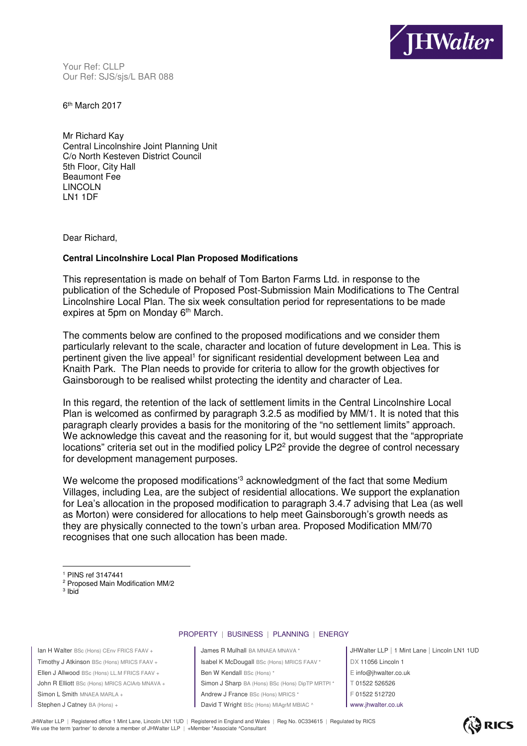

Your Ref: CLLP Our Ref: SJS/sjs/L BAR 088

6<sup>th</sup> March 2017

Mr Richard Kay Central Lincolnshire Joint Planning Unit C/o North Kesteven District Council 5th Floor, City Hall Beaumont Fee LINCOLN LN1 1DF

Dear Richard,

## **Central Lincolnshire Local Plan Proposed Modifications**

This representation is made on behalf of Tom Barton Farms Ltd. in response to the publication of the Schedule of Proposed Post-Submission Main Modifications to The Central Lincolnshire Local Plan. The six week consultation period for representations to be made expires at 5pm on Monday 6<sup>th</sup> March.

The comments below are confined to the proposed modifications and we consider them particularly relevant to the scale, character and location of future development in Lea. This is pertinent given the live appeal<sup>1</sup> for significant residential development between Lea and Knaith Park. The Plan needs to provide for criteria to allow for the growth objectives for Gainsborough to be realised whilst protecting the identity and character of Lea.

In this regard, the retention of the lack of settlement limits in the Central Lincolnshire Local Plan is welcomed as confirmed by paragraph 3.2.5 as modified by MM/1. It is noted that this paragraph clearly provides a basis for the monitoring of the "no settlement limits" approach. We acknowledge this caveat and the reasoning for it, but would suggest that the "appropriate" locations" criteria set out in the modified policy LP2<sup>2</sup> provide the degree of control necessary for development management purposes.

We welcome the proposed modifications<sup>'3</sup> acknowledgment of the fact that some Medium Villages, including Lea, are the subject of residential allocations. We support the explanation for Lea's allocation in the proposed modification to paragraph 3.4.7 advising that Lea (as well as Morton) were considered for allocations to help meet Gainsborough's growth needs as they are physically connected to the town's urban area. Proposed Modification MM/70 recognises that one such allocation has been made.

 $3$  Ibid

 $\overline{a}$ 

## PROPERTY | BUSINESS | PLANNING | ENERGY

| Ian H Walter BSc (Hons) CEnv FRICS FAAV +    |
|----------------------------------------------|
| Timothy J Atkinson BSc (Hons) MRICS FAAV +   |
| Ellen J Allwood BSc (Hons) LL.M FRICS FAAV + |
| John R Elliott BSc (Hons) MRICS ACIArb MNAVA |
| Simon L Smith MNAEA MARLA +                  |
| Stephen J Catney BA (Hons) +                 |
|                                              |

James R Mulhall BA MNAEA MNAVA \* JHWalter LLP | 1 Mint Lane | Lincoln LN1 1UD Isabel K McDougall BSc (Hons) MRICS FAAV \* | DX 11056 Lincoln 1 Ellen W Kendall BSc (Hons) \*  $\left| \begin{array}{c} E \end{array} \right|$  E info@jhwalter.co.uk Simon J Sharp BA (Hons) BSc (Hons) DipTP MRTPI \* | T 01522 526526 Andrew J France BSc (Hons) MRICS \* F 01522 512720 Stephen J Catney BA (Hons) + David T Wright BSc (Hons) MIAgrM MBIAC ^ www.jhwalter.co.uk

JHWalter LLP | Registered office 1 Mint Lane, Lincoln LN1 1UD | Registered in England and Wales | Reg No. 0C334615 | Regulated by RICS We use the term 'partner' to denote a member of JHWalter LLP | +Member \*Associate ^Consultant



<sup>1</sup> PINS ref 3147441

<sup>2</sup> Proposed Main Modification MM/2